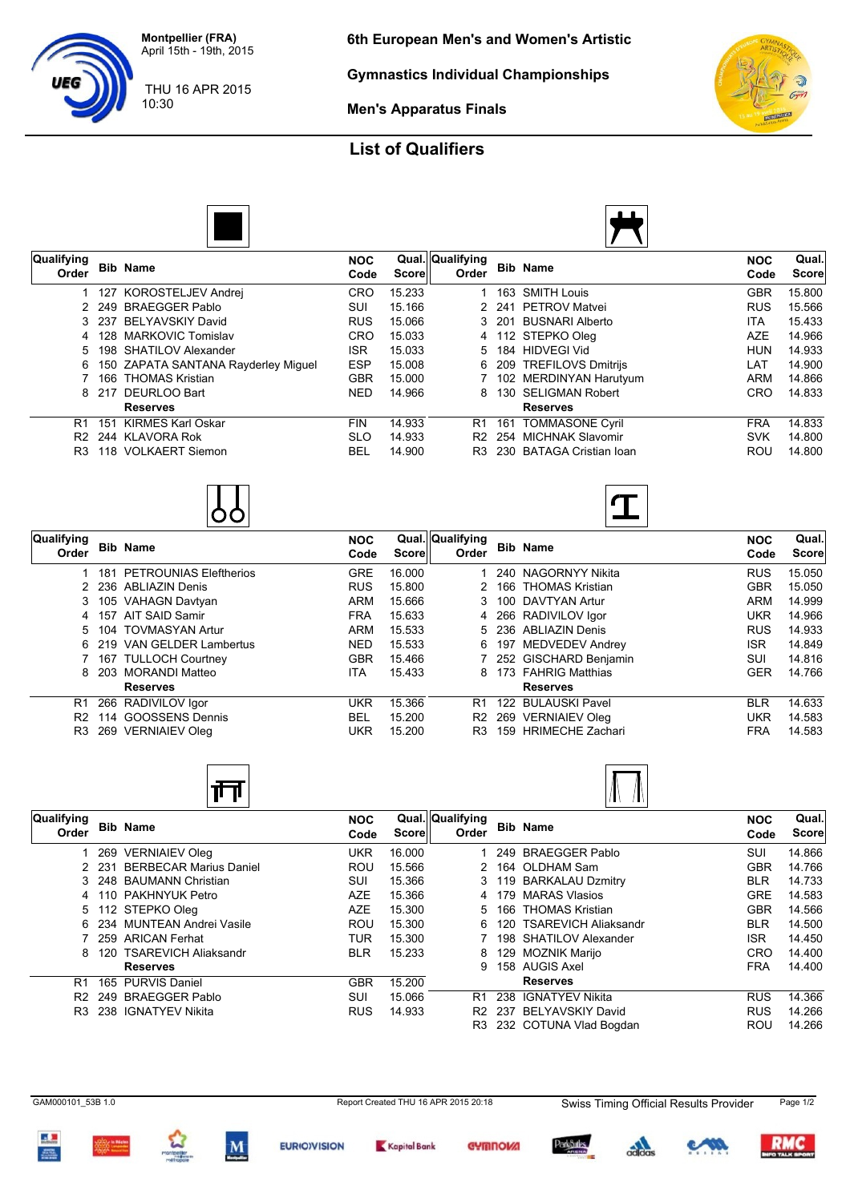**Montpellier (FRA)** April 15th - 19th, 2015

**Gymnastics Individual Championships**

10:30 THU 16 APR 2015

**Men's Apparatus Finals**

## **List of Qualifiers**



| Qualifying<br>Order |       | <b>Bib Name</b>                       | <b>NOC</b><br>Code | Score  | Qual. Qualifying<br>Order |     | <b>Bib Name</b>          | <b>NOC</b><br>Code | Qual.<br>Score |
|---------------------|-------|---------------------------------------|--------------------|--------|---------------------------|-----|--------------------------|--------------------|----------------|
|                     |       | 1 127 KOROSTELJEV Andrei              | <b>CRO</b>         | 15.233 |                           | 163 | SMITH Louis              | GBR                | 15.800         |
|                     |       | 2 249 BRAEGGER Pablo                  | SUI                | 15.166 |                           |     | 2 241 PETROV Matvei      | <b>RUS</b>         | 15.566         |
|                     | 3 237 | BELYAVSKIY David                      | <b>RUS</b>         | 15.066 |                           |     | 3 201 BUSNARI Alberto    | ITA.               | 15.433         |
|                     |       | 128 MARKOVIC Tomislav                 | <b>CRO</b>         | 15.033 |                           |     | 4 112 STEPKO Oleg        | <b>AZE</b>         | 14.966         |
| 5                   |       | 198 SHATILOV Alexander                | <b>ISR</b>         | 15.033 |                           |     | 5 184 HIDVEGI Vid        | <b>HUN</b>         | 14.933         |
|                     |       | 6 150 ZAPATA SANTANA Rayderley Miguel | <b>ESP</b>         | 15.008 |                           |     | 6 209 TREFILOVS Dmitrijs | LAT                | 14.900         |
|                     |       | 166 THOMAS Kristian                   | <b>GBR</b>         | 15.000 |                           |     | 7 102 MERDINYAN Harutyum | <b>ARM</b>         | 14.866         |
|                     | 8 217 | DEURLOO Bart                          | <b>NED</b>         | 14.966 |                           |     | 8 130 SELIGMAN Robert    | <b>CRO</b>         | 14.833         |
|                     |       | <b>Reserves</b>                       |                    |        |                           |     | <b>Reserves</b>          |                    |                |
| R1                  | 151   | <b>KIRMES Karl Oskar</b>              | <b>FIN</b>         | 14.933 | R1                        |     | 161 TOMMASONE Cyril      | <b>FRA</b>         | 14.833         |
| R <sub>2</sub>      |       | 244 KLAVORA Rok                       | <b>SLO</b>         | 14.933 | R <sub>2</sub>            |     | 254 MICHNAK Slavomir     | SVK                | 14.800         |
| R <sub>3</sub>      |       | 118 VOLKAERT Siemon                   | <b>BEL</b>         | 14.900 | R3                        |     | 230 BATAGA Cristian Ioan | ROU                | 14.800         |



| Qualifying<br>Order |     | <b>Bib Name</b>               | <b>NOC</b><br>Code | Scorel | Qual. Qualifying<br>Order | <b>Bib Name</b>       | <b>NOC</b><br>Code | Qual.<br><b>Score</b> |
|---------------------|-----|-------------------------------|--------------------|--------|---------------------------|-----------------------|--------------------|-----------------------|
|                     | 181 | <b>PETROUNIAS Eleftherios</b> | <b>GRE</b>         | 16.000 |                           | 240 NAGORNYY Nikita   | <b>RUS</b>         | 15.050                |
|                     |     | 2 236 ABLIAZIN Denis          | <b>RUS</b>         | 15.800 |                           | 166 THOMAS Kristian   | <b>GBR</b>         | 15.050                |
|                     |     | 3 105 VAHAGN Davtyan          | <b>ARM</b>         | 15.666 |                           | 100 DAVTYAN Artur     | <b>ARM</b>         | 14.999                |
|                     | 157 | AIT SAID Samir                | <b>FRA</b>         | 15.633 | 4                         | 266 RADIVILOV Igor    | <b>UKR</b>         | 14.966                |
| 5                   |     | 104 TOVMASYAN Artur           | <b>ARM</b>         | 15.533 | 5.                        | 236 ABLIAZIN Denis    | <b>RUS</b>         | 14.933                |
|                     |     | 6 219 VAN GELDER Lambertus    | <b>NED</b>         | 15.533 | 6.                        | 197 MEDVEDEV Andrey   | <b>ISR</b>         | 14.849                |
|                     |     | 7 167 TULLOCH Courtney        | <b>GBR</b>         | 15.466 |                           | 252 GISCHARD Benjamin | SUI                | 14.816                |
|                     |     | 8 203 MORANDI Matteo          | ITA.               | 15.433 | 8                         | 173 FAHRIG Matthias   | <b>GER</b>         | 14.766                |
|                     |     | <b>Reserves</b>               |                    |        |                           | <b>Reserves</b>       |                    |                       |
| R1                  |     | 266 RADIVILOV Igor            | UKR                | 15.366 | R <sub>1</sub>            | 122 BULAUSKI Pavel    | <b>BLR</b>         | 14.633                |
| R <sub>2</sub>      | 114 | <b>GOOSSENS Dennis</b>        | <b>BEL</b>         | 15.200 | R <sub>2</sub>            | 269 VERNIAIEV Oleg    | <b>UKR</b>         | 14.583                |
| R3                  |     | 269 VERNIAIEV Oleg            | UKR                | 15.200 | R3                        | 159 HRIMECHE Zachari  | <b>FRA</b>         | 14.583                |





| Qualifying<br>Order |     | <b>Bib Name</b>              | <b>NOC</b><br>Code | Score  | Qual. Qualifying<br>Order |     | <b>Bib Name</b>          | <b>NOC</b><br>Code | Qual.<br><b>Score</b> |
|---------------------|-----|------------------------------|--------------------|--------|---------------------------|-----|--------------------------|--------------------|-----------------------|
|                     |     | 269 VERNIAIEV Oleg           | UKR                | 16.000 |                           |     | 249 BRAEGGER Pablo       | <b>SUI</b>         | 14.866                |
|                     |     | 2 231 BERBECAR Marius Daniel | ROU                | 15.566 |                           |     | 2 164 OLDHAM Sam         | <b>GBR</b>         | 14.766                |
| 3.                  |     | 248 BAUMANN Christian        | SUI                | 15.366 | 3                         |     | 119 BARKALAU Dzmitry     | <b>BLR</b>         | 14.733                |
| 4                   |     | 110 PAKHNYUK Petro           | <b>AZE</b>         | 15.366 |                           | 179 | <b>MARAS Vlasios</b>     | <b>GRE</b>         | 14.583                |
|                     |     | 5 112 STEPKO Oleg            | AZE                | 15.300 |                           |     | 5 166 THOMAS Kristian    | <b>GBR</b>         | 14.566                |
|                     |     | 6 234 MUNTEAN Andrei Vasile  | ROU                | 15.300 | 6                         |     | 120 TSAREVICH Aliaksandr | <b>BLR</b>         | 14.500                |
|                     |     | 259 ARICAN Ferhat            | TUR                | 15.300 |                           |     | 198 SHATILOV Alexander   | <b>ISR</b>         | 14.450                |
| 8                   |     | 120 TSAREVICH Aliaksandr     | <b>BLR</b>         | 15.233 | 8                         |     | 129 MOZNIK Marijo        | CRO                | 14.400                |
|                     |     | <b>Reserves</b>              |                    |        | 9                         |     | 158 AUGIS Axel           | <b>FRA</b>         | 14.400                |
| R1                  |     | 165 PURVIS Daniel            | <b>GBR</b>         | 15.200 |                           |     | <b>Reserves</b>          |                    |                       |
| R <sub>2</sub>      | 249 | <b>BRAEGGER Pablo</b>        | SUI                | 15.066 | R1                        | 238 | <b>IGNATYEV Nikita</b>   | <b>RUS</b>         | 14.366                |
| R3                  |     | 238 IGNATYEV Nikita          | <b>RUS</b>         | 14.933 | R <sub>2</sub>            | 237 | BELYAVSKIY David         | <b>RUS</b>         | 14.266                |
|                     |     |                              |                    |        | R3                        |     | 232 COTUNA Vlad Bogdan   | ROU                | 14.266                |



 $\mathbf{M}$ 







 $\frac{1}{2}$